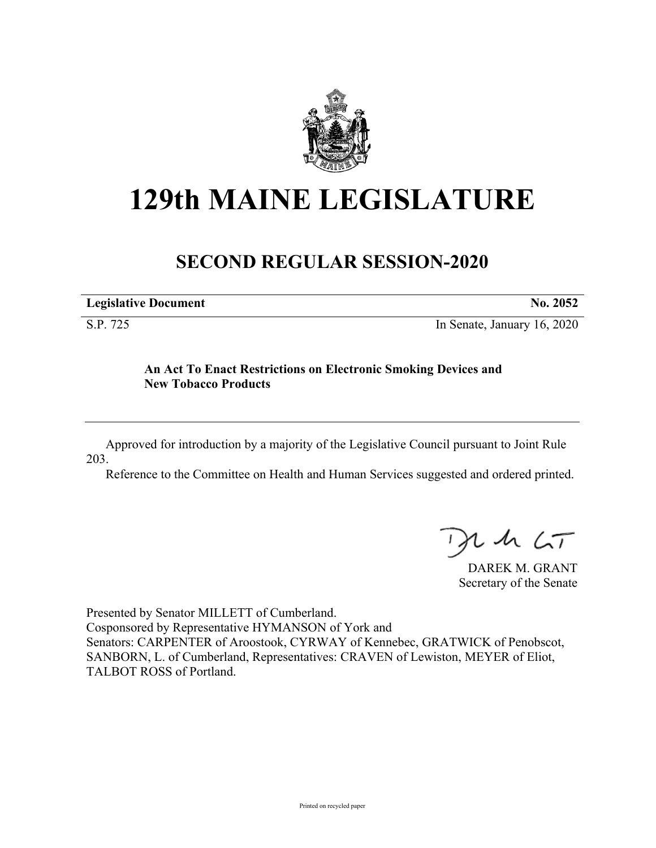

## **129th MAINE LEGISLATURE**

## **SECOND REGULAR SESSION-2020**

| <b>Legislative Document</b> | No. 2052 |
|-----------------------------|----------|
|                             |          |

S.P. 725 In Senate, January 16, 2020

## **An Act To Enact Restrictions on Electronic Smoking Devices and New Tobacco Products**

Approved for introduction by a majority of the Legislative Council pursuant to Joint Rule 203.

Reference to the Committee on Health and Human Services suggested and ordered printed.

 $425$ 

DAREK M. GRANT Secretary of the Senate

Presented by Senator MILLETT of Cumberland. Cosponsored by Representative HYMANSON of York and Senators: CARPENTER of Aroostook, CYRWAY of Kennebec, GRATWICK of Penobscot, SANBORN, L. of Cumberland, Representatives: CRAVEN of Lewiston, MEYER of Eliot, TALBOT ROSS of Portland.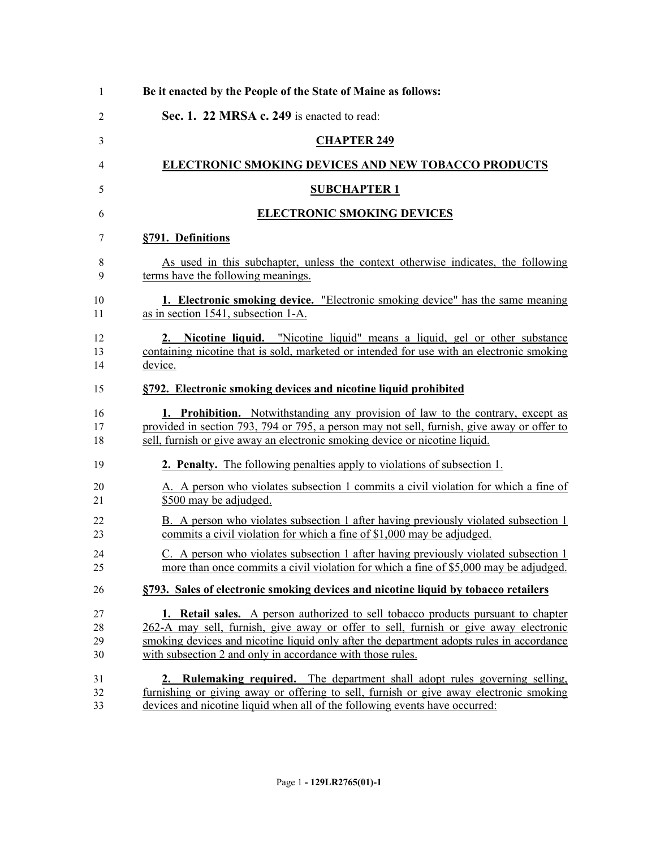| Be it enacted by the People of the State of Maine as follows:                                                                                                                                                                                                                                                                       |
|-------------------------------------------------------------------------------------------------------------------------------------------------------------------------------------------------------------------------------------------------------------------------------------------------------------------------------------|
| Sec. 1. 22 MRSA c. 249 is enacted to read:                                                                                                                                                                                                                                                                                          |
| <b>CHAPTER 249</b>                                                                                                                                                                                                                                                                                                                  |
| <b>ELECTRONIC SMOKING DEVICES AND NEW TOBACCO PRODUCTS</b>                                                                                                                                                                                                                                                                          |
| <b>SUBCHAPTER 1</b>                                                                                                                                                                                                                                                                                                                 |
| <b>ELECTRONIC SMOKING DEVICES</b>                                                                                                                                                                                                                                                                                                   |
| §791. Definitions                                                                                                                                                                                                                                                                                                                   |
| As used in this subchapter, unless the context otherwise indicates, the following<br>terms have the following meanings.                                                                                                                                                                                                             |
| 1. Electronic smoking device. "Electronic smoking device" has the same meaning<br>as in section 1541, subsection 1-A.                                                                                                                                                                                                               |
| 2. Nicotine liquid. "Nicotine liquid" means a liquid, gel or other substance<br>containing nicotine that is sold, marketed or intended for use with an electronic smoking<br>device.                                                                                                                                                |
| §792. Electronic smoking devices and nicotine liquid prohibited                                                                                                                                                                                                                                                                     |
| <b>1. Prohibition.</b> Notwithstanding any provision of law to the contrary, except as<br>provided in section 793, 794 or 795, a person may not sell, furnish, give away or offer to<br>sell, furnish or give away an electronic smoking device or nicotine liquid.                                                                 |
| <b>2. Penalty.</b> The following penalties apply to violations of subsection 1.                                                                                                                                                                                                                                                     |
| A. A person who violates subsection 1 commits a civil violation for which a fine of<br>\$500 may be adjudged.                                                                                                                                                                                                                       |
| B. A person who violates subsection 1 after having previously violated subsection 1<br>commits a civil violation for which a fine of \$1,000 may be adjudged.                                                                                                                                                                       |
| C. A person who violates subsection 1 after having previously violated subsection 1<br>more than once commits a civil violation for which a fine of \$5,000 may be adjudged.                                                                                                                                                        |
| §793. Sales of electronic smoking devices and nicotine liquid by tobacco retailers                                                                                                                                                                                                                                                  |
| 1. Retail sales. A person authorized to sell tobacco products pursuant to chapter<br>262-A may sell, furnish, give away or offer to sell, furnish or give away electronic<br>smoking devices and nicotine liquid only after the department adopts rules in accordance<br>with subsection 2 and only in accordance with those rules. |
| 2. Rulemaking required. The department shall adopt rules governing selling,<br>furnishing or giving away or offering to sell, furnish or give away electronic smoking<br>devices and nicotine liquid when all of the following events have occurred:                                                                                |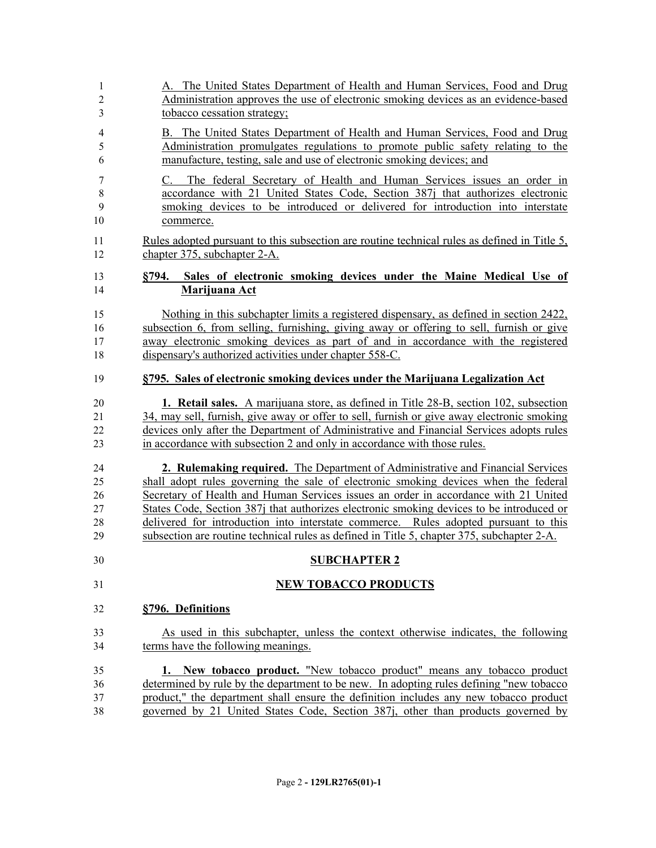| 1                 | A. The United States Department of Health and Human Services, Food and Drug                                                                                                                                                                                  |
|-------------------|--------------------------------------------------------------------------------------------------------------------------------------------------------------------------------------------------------------------------------------------------------------|
| $\overline{c}$    | Administration approves the use of electronic smoking devices as an evidence-based                                                                                                                                                                           |
| 3                 | tobacco cessation strategy;                                                                                                                                                                                                                                  |
| $\overline{4}$    | B. The United States Department of Health and Human Services, Food and Drug                                                                                                                                                                                  |
| 5                 | Administration promulgates regulations to promote public safety relating to the                                                                                                                                                                              |
| 6                 | manufacture, testing, sale and use of electronic smoking devices; and                                                                                                                                                                                        |
| 7<br>8<br>9<br>10 | The federal Secretary of Health and Human Services issues an order in<br>C.<br>accordance with 21 United States Code, Section 387j that authorizes electronic<br>smoking devices to be introduced or delivered for introduction into interstate<br>commerce. |
| 11                | Rules adopted pursuant to this subsection are routine technical rules as defined in Title 5,                                                                                                                                                                 |
| 12                | chapter 375, subchapter 2-A.                                                                                                                                                                                                                                 |
| 13<br>14          | Sales of electronic smoking devices under the Maine Medical Use of<br>8794.<br>Marijuana Act                                                                                                                                                                 |
| 15                | Nothing in this subchapter limits a registered dispensary, as defined in section 2422,                                                                                                                                                                       |
| 16                | subsection 6, from selling, furnishing, giving away or offering to sell, furnish or give                                                                                                                                                                     |
| 17                | away electronic smoking devices as part of and in accordance with the registered                                                                                                                                                                             |
| 18                | dispensary's authorized activities under chapter 558-C.                                                                                                                                                                                                      |
| 19                | §795. Sales of electronic smoking devices under the Marijuana Legalization Act                                                                                                                                                                               |
| 20                | 1. Retail sales. A marijuana store, as defined in Title 28-B, section 102, subsection                                                                                                                                                                        |
| 21                | 34, may sell, furnish, give away or offer to sell, furnish or give away electronic smoking                                                                                                                                                                   |
| 22                | devices only after the Department of Administrative and Financial Services adopts rules                                                                                                                                                                      |
| 23                | in accordance with subsection 2 and only in accordance with those rules.                                                                                                                                                                                     |
| 24                | 2. Rulemaking required. The Department of Administrative and Financial Services                                                                                                                                                                              |
| 25                | shall adopt rules governing the sale of electronic smoking devices when the federal                                                                                                                                                                          |
| 26                | Secretary of Health and Human Services issues an order in accordance with 21 United                                                                                                                                                                          |
| 27                | States Code, Section 387j that authorizes electronic smoking devices to be introduced or                                                                                                                                                                     |
| 28                | delivered for introduction into interstate commerce. Rules adopted pursuant to this                                                                                                                                                                          |
| 29                | subsection are routine technical rules as defined in Title 5, chapter 375, subchapter 2-A.                                                                                                                                                                   |
| 30                | <b>SUBCHAPTER 2</b>                                                                                                                                                                                                                                          |
| 31                | <b>NEW TOBACCO PRODUCTS</b>                                                                                                                                                                                                                                  |
| 32                | §796. Definitions                                                                                                                                                                                                                                            |
| 33                | As used in this subchapter, unless the context otherwise indicates, the following                                                                                                                                                                            |
| 34                | terms have the following meanings.                                                                                                                                                                                                                           |
| 35                | 1. New tobacco product. "New tobacco product" means any tobacco product                                                                                                                                                                                      |
| 36                | determined by rule by the department to be new. In adopting rules defining "new tobacco                                                                                                                                                                      |
| 37                | product," the department shall ensure the definition includes any new tobacco product                                                                                                                                                                        |
| 38                | governed by 21 United States Code, Section 387, other than products governed by                                                                                                                                                                              |
|                   |                                                                                                                                                                                                                                                              |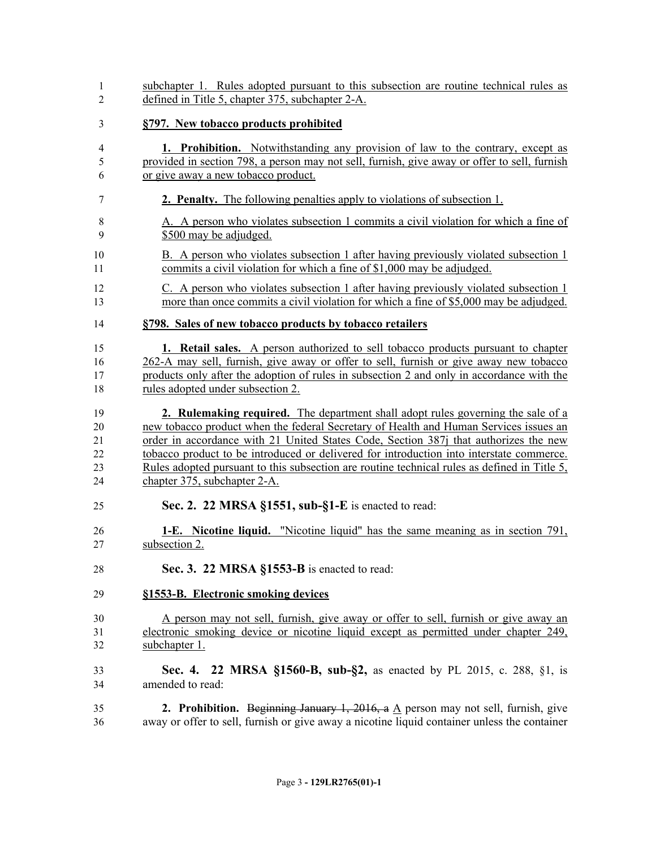| 1              | subchapter 1. Rules adopted pursuant to this subsection are routine technical rules as          |
|----------------|-------------------------------------------------------------------------------------------------|
| $\overline{c}$ | defined in Title 5, chapter 375, subchapter 2-A.                                                |
| 3              | §797. New tobacco products prohibited                                                           |
| 4              | <b>1. Prohibition.</b> Notwithstanding any provision of law to the contrary, except as          |
| 5              | provided in section 798, a person may not sell, furnish, give away or offer to sell, furnish    |
| 6              | or give away a new tobacco product.                                                             |
| 7              | <b>2. Penalty.</b> The following penalties apply to violations of subsection 1.                 |
| $\,8\,$        | A. A person who violates subsection 1 commits a civil violation for which a fine of             |
| 9              | \$500 may be adjudged.                                                                          |
| 10             | B. A person who violates subsection 1 after having previously violated subsection 1             |
| 11             | commits a civil violation for which a fine of \$1,000 may be adjudged.                          |
| 12             | C. A person who violates subsection 1 after having previously violated subsection 1             |
| 13             | more than once commits a civil violation for which a fine of \$5,000 may be adjudged.           |
| 14             | §798. Sales of new tobacco products by tobacco retailers                                        |
| 15             | 1. Retail sales. A person authorized to sell tobacco products pursuant to chapter               |
| 16             | 262-A may sell, furnish, give away or offer to sell, furnish or give away new tobacco           |
| 17             | products only after the adoption of rules in subsection 2 and only in accordance with the       |
| 18             | rules adopted under subsection 2.                                                               |
| 19             | 2. Rulemaking required. The department shall adopt rules governing the sale of a                |
| 20             | new tobacco product when the federal Secretary of Health and Human Services issues an           |
| 21             | order in accordance with 21 United States Code, Section 387j that authorizes the new            |
| 22             | tobacco product to be introduced or delivered for introduction into interstate commerce.        |
| 23             | Rules adopted pursuant to this subsection are routine technical rules as defined in Title 5,    |
| 24             | chapter 375, subchapter 2-A.                                                                    |
| 25             | Sec. 2. 22 MRSA §1551, sub-§1-E is enacted to read:                                             |
| 26             | <b>1-E.</b> Nicotine liquid. "Nicotine liquid" has the same meaning as in section 791,          |
| 27             | subsection 2.                                                                                   |
| 28             | Sec. 3. 22 MRSA §1553-B is enacted to read:                                                     |
| 29             | §1553-B. Electronic smoking devices                                                             |
| 30             | A person may not sell, furnish, give away or offer to sell, furnish or give away an             |
| 31             | electronic smoking device or nicotine liquid except as permitted under chapter 249,             |
| 32             | subchapter 1.                                                                                   |
| 33             | Sec. 4. 22 MRSA §1560-B, sub-§2, as enacted by PL 2015, c. 288, §1, is                          |
| 34             | amended to read:                                                                                |
| 35             | <b>2. Prohibition.</b> Beginning January 1, 2016, a $\Delta$ person may not sell, furnish, give |
| 36             | away or offer to sell, furnish or give away a nicotine liquid container unless the container    |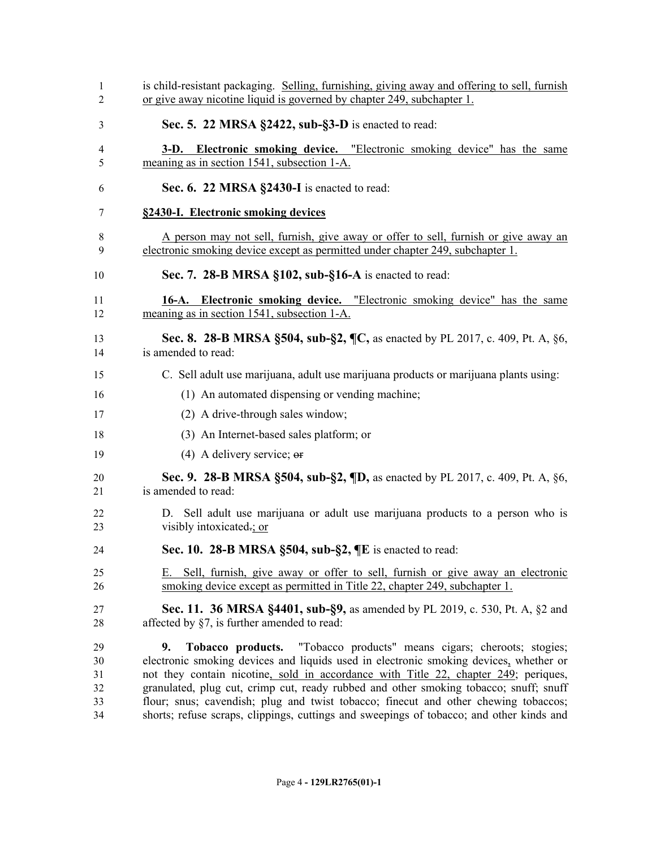| 1<br>$\overline{2}$ | is child-resistant packaging. Selling, furnishing, giving away and offering to sell, furnish<br>or give away nicotine liquid is governed by chapter 249, subchapter 1.          |
|---------------------|---------------------------------------------------------------------------------------------------------------------------------------------------------------------------------|
| 3                   | Sec. 5. 22 MRSA §2422, sub-§3-D is enacted to read:                                                                                                                             |
| 4<br>5              | <b>3-D.</b> Electronic smoking device. "Electronic smoking device" has the same<br>meaning as in section 1541, subsection 1-A.                                                  |
| 6                   | Sec. 6. 22 MRSA §2430-I is enacted to read:                                                                                                                                     |
| 7                   | §2430-I. Electronic smoking devices                                                                                                                                             |
| 8<br>9              | A person may not sell, furnish, give away or offer to sell, furnish or give away an<br>electronic smoking device except as permitted under chapter 249, subchapter 1.           |
| 10                  | Sec. 7. 28-B MRSA §102, sub-§16-A is enacted to read:                                                                                                                           |
| 11<br>12            | <b>16-A.</b> Electronic smoking device. "Electronic smoking device" has the same<br>meaning as in section 1541, subsection 1-A.                                                 |
| 13<br>14            | Sec. 8. 28-B MRSA §504, sub-§2, ¶C, as enacted by PL 2017, c. 409, Pt. A, §6,<br>is amended to read:                                                                            |
| 15                  | C. Sell adult use marijuana, adult use marijuana products or marijuana plants using:                                                                                            |
| 16                  | (1) An automated dispensing or vending machine;                                                                                                                                 |
| 17                  | (2) A drive-through sales window;                                                                                                                                               |
| 18                  | (3) An Internet-based sales platform; or                                                                                                                                        |
| 19                  | $(4)$ A delivery service; $\Theta$                                                                                                                                              |
| 20<br>21            | Sec. 9. 28-B MRSA §504, sub-§2, ¶D, as enacted by PL 2017, c. 409, Pt. A, §6,<br>is amended to read:                                                                            |
| 22<br>23            | D. Sell adult use marijuana or adult use marijuana products to a person who is<br>visibly intoxicated-; or                                                                      |
| 24                  | Sec. 10. 28-B MRSA $\S504$ , sub- $\S2$ , $\P E$ is enacted to read:                                                                                                            |
| 25                  | E. Sell, furnish, give away or offer to sell, furnish or give away an electronic                                                                                                |
| 26                  | smoking device except as permitted in Title 22, chapter 249, subchapter 1.                                                                                                      |
| 27<br>28            | <b>Sec. 11. 36 MRSA §4401, sub-§9,</b> as amended by PL 2019, c. 530, Pt. A, §2 and<br>affected by $\S7$ , is further amended to read:                                          |
|                     | "Tobacco products" means cigars; cheroots; stogies;                                                                                                                             |
| 29<br>30            | Tobacco products.<br>9.<br>electronic smoking devices and liquids used in electronic smoking devices, whether or                                                                |
| 31                  | not they contain nicotine, sold in accordance with Title 22, chapter 249; periques,                                                                                             |
| 32                  | granulated, plug cut, crimp cut, ready rubbed and other smoking tobacco; snuff; snuff                                                                                           |
| 33<br>34            | flour; snus; cavendish; plug and twist tobacco; finecut and other chewing tobaccos;<br>shorts; refuse scraps, clippings, cuttings and sweepings of tobacco; and other kinds and |
|                     |                                                                                                                                                                                 |